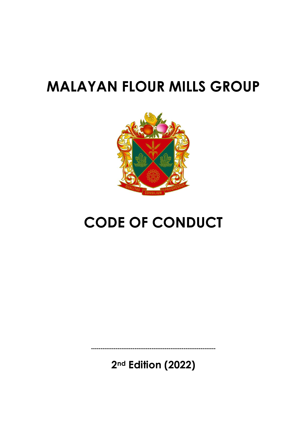# **MALAYAN FLOUR MILLS GROUP**



# **CODE OF CONDUCT**

**2nd Edition (2022)**

**------------------------------------------------------------------**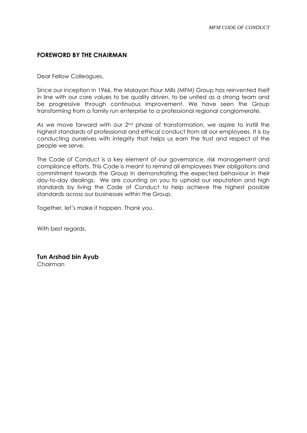#### **FOREWORD BY THE CHAIRMAN**

Dear Fellow Colleagues,

Since our inception in 1966, the Malayan Flour Mills (MFM) Group has reinvented itself in line with our core values to be quality driven, to be united as a strong team and be progressive through continuous improvement. We have seen the Group transforming from a family run enterprise to a professional regional conglomerate.

As we move forward with our 2<sup>nd</sup> phase of transformation, we aspire to instill the highest standards of professional and ethical conduct from all our employees. It is by conducting ourselves with integrity that helps us earn the trust and respect of the people we serve.

The Code of Conduct is a key element of our governance, risk management and compliance efforts. This Code is meant to remind all employees their obligations and commitment towards the Group in demonstrating the expected behaviour in their day-to-day dealings. We are counting on you to uphold our reputation and high standards by living the Code of Conduct to help achieve the highest possible standards across our businesses within the Group.

Together, let's make it happen. Thank you.

With best regards,

**Tun Arshad bin Ayub**  Chairman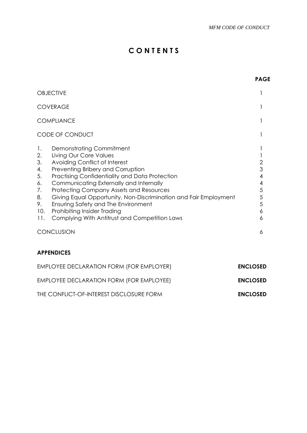**PAGE**

# **C O N T E N T S**

|                                                                              | <b>OBJECTIVE</b>                                                                                                                                                                                                                                                                                                                                                                                                                                                   |                                      |  |
|------------------------------------------------------------------------------|--------------------------------------------------------------------------------------------------------------------------------------------------------------------------------------------------------------------------------------------------------------------------------------------------------------------------------------------------------------------------------------------------------------------------------------------------------------------|--------------------------------------|--|
|                                                                              | <b>COVERAGE</b>                                                                                                                                                                                                                                                                                                                                                                                                                                                    |                                      |  |
| <b>COMPLIANCE</b>                                                            |                                                                                                                                                                                                                                                                                                                                                                                                                                                                    |                                      |  |
|                                                                              | CODE OF CONDUCT                                                                                                                                                                                                                                                                                                                                                                                                                                                    |                                      |  |
| $\mathbf{1}$ .<br>2.<br>3.<br>4.<br>5.<br>6.<br>7.<br>8.<br>9.<br>10.<br>11. | Demonstrating Commitment<br>Living Our Core Values<br>Avoiding Conflict of Interest<br>Preventing Bribery and Corruption<br>Practising Confidentiality and Data Protection<br>Communicating Externally and Internally<br><b>Protecting Company Assets and Resources</b><br>Giving Equal Opportunity, Non-Discrimination and Fair Employment<br>Ensuring Safety and The Environment<br>Prohibiting Insider Trading<br>Complying With Antitrust and Competition Laws | 3<br>4<br>4<br>5<br>5<br>5<br>6<br>6 |  |
| <b>CONCLUSION</b>                                                            |                                                                                                                                                                                                                                                                                                                                                                                                                                                                    |                                      |  |

### **APPENDICES**

| EMPLOYEE DECLARATION FORM (FOR EMPLOYER) | <b>ENCLOSED</b> |
|------------------------------------------|-----------------|
| EMPLOYEE DECLARATION FORM (FOR EMPLOYEE) | <b>ENCLOSED</b> |
| THE CONFLICT-OF-INTEREST DISCLOSURE FORM | <b>ENCLOSED</b> |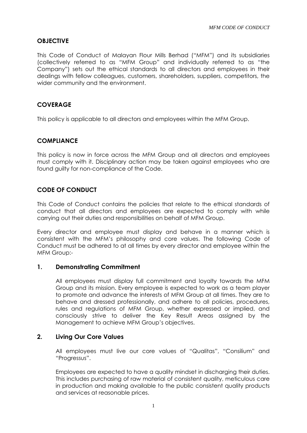#### **OBJECTIVE**

This Code of Conduct of Malayan Flour Mills Berhad ("MFM") and its subsidiaries (collectively referred to as "MFM Group" and individually referred to as "the Company") sets out the ethical standards to all directors and employees in their dealings with fellow colleagues, customers, shareholders, suppliers, competitors, the wider community and the environment.

#### **COVERAGE**

This policy is applicable to all directors and employees within the MFM Group.

#### **COMPLIANCE**

This policy is now in force across the MFM Group and all directors and employees must comply with it. Disciplinary action may be taken against employees who are found guilty for non-compliance of the Code.

#### **CODE OF CONDUCT**

This Code of Conduct contains the policies that relate to the ethical standards of conduct that all directors and employees are expected to comply with while carrying out their duties and responsibilities on behalf of MFM Group.

Every director and employee must display and behave in a manner which is consistent with the MFM's philosophy and core values. The following Code of Conduct must be adhered to at all times by every director and employee within the MFM Group:-

#### **1. Demonstrating Commitment**

All employees must display full commitment and loyalty towards the MFM Group and its mission. Every employee is expected to work as a team player to promote and advance the interests of MFM Group at all times. They are to behave and dressed professionally, and adhere to all policies, procedures, rules and regulations of MFM Group, whether expressed or implied, and consciously strive to deliver the Key Result Areas assigned by the Management to achieve MFM Group's objectives.

#### **2. Living Our Core Values**

All employees must live our core values of "Qualitas", "Consilium" and "Progressus".

Employees are expected to have a quality mindset in discharging their duties. This includes purchasing of raw material of consistent quality, meticulous care in production and making available to the public consistent quality products and services at reasonable prices.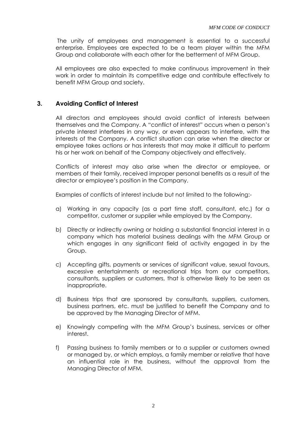The unity of employees and management is essential to a successful enterprise. Employees are expected to be a team player within the MFM Group and collaborate with each other for the betterment of MFM Group.

All employees are also expected to make continuous improvement in their work in order to maintain its competitive edge and contribute effectively to benefit MFM Group and society.

#### **3. Avoiding Conflict of Interest**

All directors and employees should avoid conflict of interests between themselves and the Company. A "conflict of interest" occurs when a person's private interest interferes in any way, or even appears to interfere, with the interests of the Company. A conflict situation can arise when the director or employee takes actions or has interests that may make it difficult to perform his or her work on behalf of the Company objectively and effectively.

Conflicts of interest may also arise when the director or employee, or members of their family, received improper personal benefits as a result of the director or employee's position in the Company.

Examples of conflicts of interest include but not limited to the following:-

- a) Working in any capacity (as a part time staff, consultant, etc.) for a competitor, customer or supplier while employed by the Company.
- b) Directly or indirectly owning or holding a substantial financial interest in a company which has material business dealings with the MFM Group or which engages in any significant field of activity engaged in by the Group.
- c) Accepting gifts, payments or services of significant value, sexual favours, excessive entertainments or recreational trips from our competitors, consultants, suppliers or customers, that is otherwise likely to be seen as inappropriate.
- d) Business trips that are sponsored by consultants, suppliers, customers, business partners, etc. must be justified to benefit the Company and to be approved by the Managing Director of MFM.
- e) Knowingly competing with the MFM Group's business, services or other interest.
- f) Passing business to family members or to a supplier or customers owned or managed by, or which employs, a family member or relative that have an influential role in the business, without the approval from the Managing Director of MFM.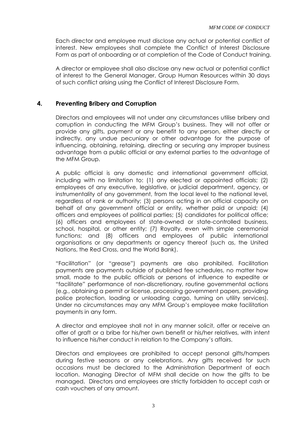Each director and employee must disclose any actual or potential conflict of interest. New employees shall complete the Conflict of Interest Disclosure Form as part of onboarding or at completion of the Code of Conduct training.

A director or employee shall also disclose any new actual or potential conflict of interest to the General Manager, Group Human Resources within 30 days of such conflict arising using the Conflict of Interest Disclosure Form.

#### **4. Preventing Bribery and Corruption**

Directors and employees will not under any circumstances utilise bribery and corruption in conducting the MFM Group's business. They will not offer or provide any gifts, payment or any benefit to any person, either directly or indirectly, any undue pecuniary or other advantage for the purpose of influencing, obtaining, retaining, directing or securing any improper business advantage from a public official or any external parties to the advantage of the MFM Group.

A public official is any domestic and international government official, including with no limitation to: (1) any elected or appointed officials; (2) employees of any executive, legislative, or judicial department, agency, or instrumentality of any government, from the local level to the national level, regardless of rank or authority; (3) persons acting in an official capacity on behalf of any government official or entity, whether paid or unpaid; (4) officers and employees of political parties; (5) candidates for political office; (6) officers and employees of state-owned or state-controlled business, school, hospital, or other entity; (7) Royalty, even with simple ceremonial functions; and (8) officers and employees of public international organisations or any departments or agency thereof (such as, the United Nations, the Red Cross, and the World Bank).

"Facilitation" (or "grease") payments are also prohibited. Facilitation payments are payments outside of published fee schedules, no matter how small, made to the public officials or persons of influence to expedite or "facilitate" performance of non-discretionary, routine governmental actions (e.g., obtaining a permit or license, processing government papers, providing police protection, loading or unloading cargo, turning on utility services). Under no circumstances may any MFM Group's employee make facilitation payments in any form.

A director and employee shall not in any manner solicit, offer or receive an offer of graft or a bribe for his/her own benefit or his/her relatives, with intent to influence his/her conduct in relation to the Company's affairs.

Directors and employees are prohibited to accept personal gifts/hampers during festive seasons or any celebrations. Any gifts received for such occasions must be declared to the Administration Department of each location. Managing Director of MFM shall decide on how the gifts to be managed. Directors and employees are strictly forbidden to accept cash or cash vouchers of any amount.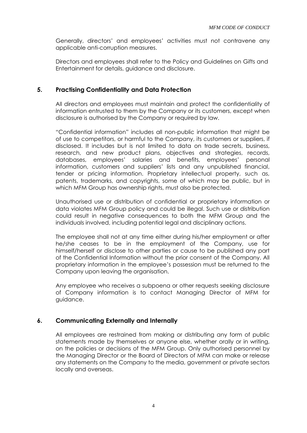Generally, directors' and employees' activities must not contravene any applicable anti-corruption measures.

Directors and employees shall refer to the Policy and Guidelines on Gifts and Entertainment for details, guidance and disclosure.

#### **5. Practising Confidentiality and Data Protection**

All directors and employees must maintain and protect the confidentiality of information entrusted to them by the Company or its customers, except when disclosure is authorised by the Company or required by law.

"Confidential information" includes all non-public information that might be of use to competitors, or harmful to the Company, its customers or suppliers, if disclosed. It includes but is not limited to data on trade secrets, business, research, and new product plans, objectives and strategies, records, databases, employees' salaries and benefits, employees' personal information, customers and suppliers' lists and any unpublished financial, tender or pricing information. Proprietary intellectual property, such as, patents, trademarks, and copyrights, some of which may be public, but in which MFM Group has ownership rights, must also be protected.

Unauthorised use or distribution of confidential or proprietary information or data violates MFM Group policy and could be illegal. Such use or distribution could result in negative consequences to both the MFM Group and the individuals involved, including potential legal and disciplinary actions.

The employee shall not at any time either during his/her employment or after he/she ceases to be in the employment of the Company, use for himself/herself or disclose to other parties or cause to be published any part of the Confidential Information without the prior consent of the Company. All proprietary information in the employee's possession must be returned to the Company upon leaving the organisation.

Any employee who receives a subpoena or other requests seeking disclosure of Company information is to contact Managing Director of MFM for guidance.

#### **6. Communicating Externally and Internally**

All employees are restrained from making or distributing any form of public statements made by themselves or anyone else, whether orally or in writing, on the policies or decisions of the MFM Group. Only authorised personnel by the Managing Director or the Board of Directors of MFM can make or release any statements on the Company to the media, government or private sectors locally and overseas.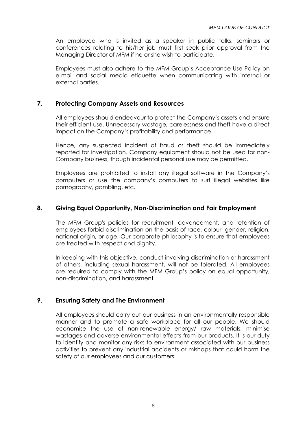An employee who is invited as a speaker in public talks, seminars or conferences relating to his/her job must first seek prior approval from the Managing Director of MFM if he or she wish to participate.

Employees must also adhere to the MFM Group's Acceptance Use Policy on e-mail and social media etiquette when communicating with internal or external parties.

#### **7. Protecting Company Assets and Resources**

All employees should endeavour to protect the Company's assets and ensure their efficient use. Unnecessary wastage, carelessness and theft have a direct impact on the Company's profitability and performance.

Hence, any suspected incident of fraud or theft should be immediately reported for investigation. Company equipment should not be used for non-Company business, though incidental personal use may be permitted.

Employees are prohibited to install any illegal software in the Company's computers or use the company's computers to surf illegal websites like pornography, gambling, etc.

#### **8. Giving Equal Opportunity, Non-Discrimination and Fair Employment**

The MFM Group's policies for recruitment, advancement, and retention of employees forbid discrimination on the basis of race, colour, gender, religion, national origin, or age. Our corporate philosophy is to ensure that employees are treated with respect and dignity.

In keeping with this objective, conduct involving discrimination or harassment of others, including sexual harassment, will not be tolerated. All employees are required to comply with the MFM Group's policy on equal opportunity, non-discrimination, and harassment.

#### **9. Ensuring Safety and The Environment**

All employees should carry out our business in an environmentally responsible manner and to promote a safe workplace for all our people. We should economise the use of non-renewable energy/ raw materials, minimise wastages and adverse environmental effects from our products. It is our duty to identify and monitor any risks to environment associated with our business activities to prevent any industrial accidents or mishaps that could harm the safety of our employees and our customers.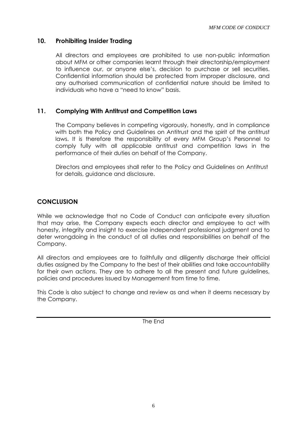#### **10. Prohibiting Insider Trading**

All directors and employees are prohibited to use non-public information about MFM or other companies learnt through their directorship/employment to influence our, or anyone else's, decision to purchase or sell securities. Confidential information should be protected from improper disclosure, and any authorised communication of confidential nature should be limited to individuals who have a "need to know" basis.

#### **11. Complying With Antitrust and Competition Laws**

The Company believes in competing vigorously, honestly, and in compliance with both the Policy and Guidelines on Antitrust and the spirit of the antitrust laws. It is therefore the responsibility of every MFM Group's Personnel to comply fully with all applicable antitrust and competition laws in the performance of their duties on behalf of the Company.

Directors and employees shall refer to the Policy and Guidelines on Antitrust for details, guidance and disclosure.

#### **CONCLUSION**

While we acknowledge that no Code of Conduct can anticipate every situation that may arise, the Company expects each director and employee to act with honesty, integrity and insight to exercise independent professional judgment and to deter wrongdoing in the conduct of all duties and responsibilities on behalf of the Company.

All directors and employees are to faithfully and diligently discharge their official duties assigned by the Company to the best of their abilities and take accountability for their own actions. They are to adhere to all the present and future guidelines, policies and procedures issued by Management from time to time.

This Code is also subject to change and review as and when it deems necessary by the Company.

The End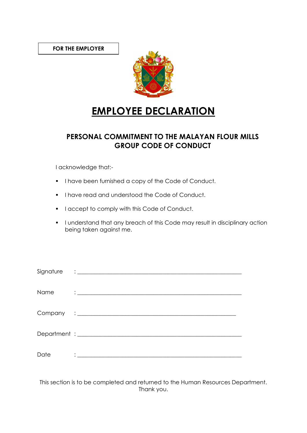

# **EMPLOYEE DECLARATION**

## **PERSONAL COMMITMENT TO THE MALAYAN FLOUR MILLS GROUP CODE OF CONDUCT**

I acknowledge that:-

- I have been furnished a copy of the Code of Conduct.
- I have read and understood the Code of Conduct.
- **•** I accept to comply with this Code of Conduct.
- I understand that any breach of this Code may result in disciplinary action being taken against me.

| Name | <u> 1986 - Jan Barbara Barbara, manazarta ba</u>                                                                                                                                                                                |
|------|---------------------------------------------------------------------------------------------------------------------------------------------------------------------------------------------------------------------------------|
|      |                                                                                                                                                                                                                                 |
|      |                                                                                                                                                                                                                                 |
| Date | $\ddotsc$ . The contract of the contract of the contract of the contract of the contract of the contract of the contract of the contract of the contract of the contract of the contract of the contract of the contract of the |

This section is to be completed and returned to the Human Resources Department. Thank you.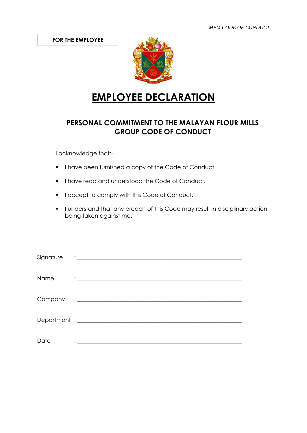**FOR THE EMPLOYEE**



# **EMPLOYEE DECLARATION**

## **PERSONAL COMMITMENT TO THE MALAYAN FLOUR MILLS GROUP CODE OF CONDUCT**

I acknowledge that:-

- I have been furnished a copy of the Code of Conduct.
- I have read and understood the Code of Conduct.
- **•** I accept to comply with this Code of Conduct.
- I understand that any breach of this Code may result in disciplinary action being taken against me.

| Name | <u> 1986 - Andrea Andrew Maria (b. 1986)</u>                                                                                                                                                                                                           |
|------|--------------------------------------------------------------------------------------------------------------------------------------------------------------------------------------------------------------------------------------------------------|
|      |                                                                                                                                                                                                                                                        |
|      |                                                                                                                                                                                                                                                        |
| Date | $\mathcal{L}(\mathcal{L}^{\mathcal{L}}_{\mathcal{L}})$ and the contribution of the contribution of the contribution of the contribution of the contribution of the contribution of the contribution of the contribution of the contribution of the con |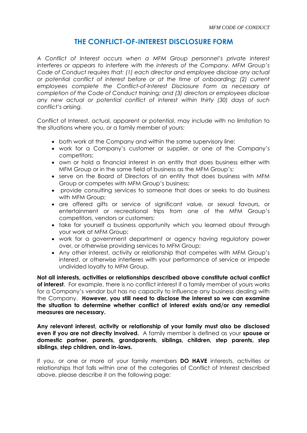### **THE CONFLICT-OF-INTEREST DISCLOSURE FORM**

*A Conflict of Interest occurs when a MFM Group personnel's private interest interferes or appears to interfere with the interests of the Company. MFM Group's Code of Conduct requires that: (1) each director and employee disclose any actual or potential conflict of interest before or at the time of onboarding; (2) current employees complete the Conflict-of-Interest Disclosure Form as necessary at completion of the Code of Conduct training; and (3) directors or employees disclose any new actual or potential conflict of interest within thirty (30) days of such conflict's arising.* 

Conflict of Interest, actual, apparent or potential, may include with no limitation to the situations where you, or a family member of yours:

- both work at the Company and within the same supervisory line;
- work for a Company's customer or supplier, or one of the Company's competitors;
- own or hold a financial interest in an entity that does business either with MFM Group or in the same field of business as the MFM Group's;
- serve on the Board of Directors of an entity that does business with MFM Group or competes with MFM Group's business;
- provide consulting services to someone that does or seeks to do business with MFM Group;
- are offered gifts or service of significant value, or sexual favours, or entertainment or recreational trips from one of the MFM Group's competitors, vendors or customers;
- take for yourself a business opportunity which you learned about through your work at MFM Group;
- work for a government department or agency having regulatory power over, or otherwise providing services to MFM Group;
- Any other interest, activity or relationship that competes with MFM Group's interest, or otherwise interferes with your performance of service or impede undivided loyalty to MFM Group.

**Not all interests, activities or relationships described above constitute actual conflict of interest**. For example, there is no conflict interest if a family member of yours works for a Company's vendor but has no capacity to influence any business dealing with the Company. **However, you still need to disclose the interest so we can examine the situation to determine whether conflict of interest exists and/or any remedial measures are necessary.** 

**Any relevant interest, activity or relationship of your family must also be disclosed even if you are not directly involved.** A family member is defined as your **spouse or domestic partner, parents, grandparents, siblings, children, step parents, step siblings, step children, and in-laws.**

If you, or one or more of your family members **DO HAVE** interests, activities or relationships that falls within one of the categories of Conflict of Interest described above, please describe it on the following page: